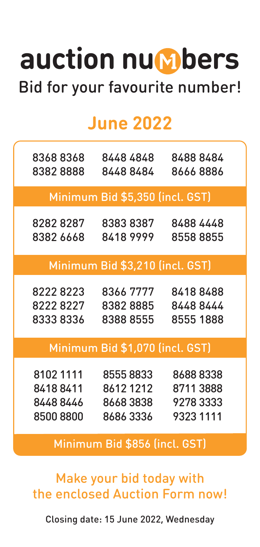## auction nu**mbers** Bid for your favourite number!

## **June 2022**

| 8368 8368                       | 8448 4848                       | 8488 8484 |  |  |
|---------------------------------|---------------------------------|-----------|--|--|
| 83828888                        | 84488484                        | 8666 8886 |  |  |
|                                 | Minimum Bid \$5,350 (incl. GST) |           |  |  |
| 8282 8287                       | 83838387                        | 8488 4448 |  |  |
| 8382 6668                       | 84189999                        | 85588855  |  |  |
|                                 | Minimum Bid \$3,210 (incl. GST) |           |  |  |
| 8222 8223                       | 8366 7777                       | 84188488  |  |  |
| 8222 8227                       | 8382 8885                       | 8448 8444 |  |  |
| 8333 8336                       | 8388 8555                       | 8555 1888 |  |  |
| Minimum Bid \$1,070 (incl. GST) |                                 |           |  |  |
| 8102 1111                       | 85558833                        | 8688 8338 |  |  |
| 84188411                        | 86121212                        | 87113888  |  |  |
| 84488446                        | 86683838                        | 92783333  |  |  |
| 8500 8800                       | 8686 3336                       | 9323 1111 |  |  |
| Minimum Bid \$856 (incl. GST)   |                                 |           |  |  |

Make your bid today with the enclosed Auction Form now!

Closing date: 15 June 2022, Wednesday